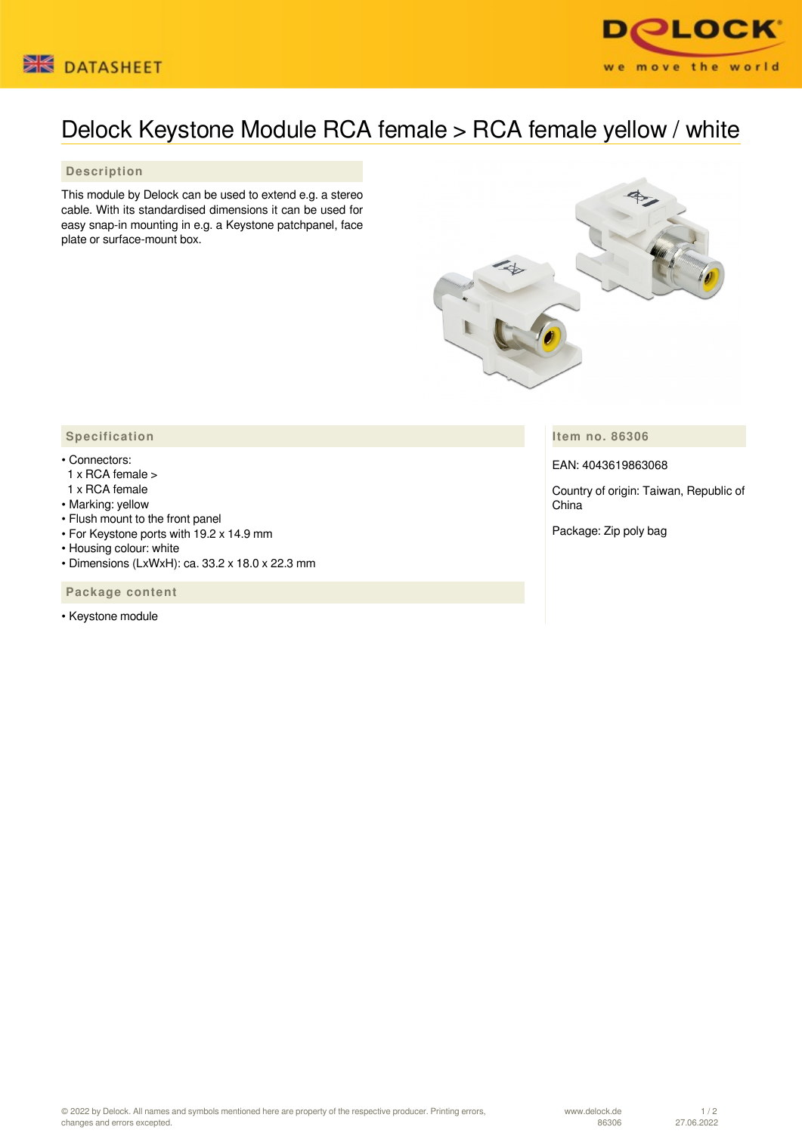



## Delock Keystone Module RCA female > RCA female yellow / white

## **Description**

This module by Delock can be used to extend e.g. a stereo cable. With its standardised dimensions it can be used for easy snap-in mounting in e.g. a Keystone patchpanel, face plate or surface-mount box.



**Item no. 86306**

EAN: 4043619863068

Country of origin: Taiwan, Republic of China

Package: Zip poly bag

## **Specification**

- Connectors:
- 1 x RCA female >
- 1 x RCA female
- Marking: yellow
- Flush mount to the front panel
- For Keystone ports with 19.2 x 14.9 mm
- Housing colour: white
- Dimensions (LxWxH): ca. 33.2 x 18.0 x 22.3 mm

 **Package content**

• Keystone module